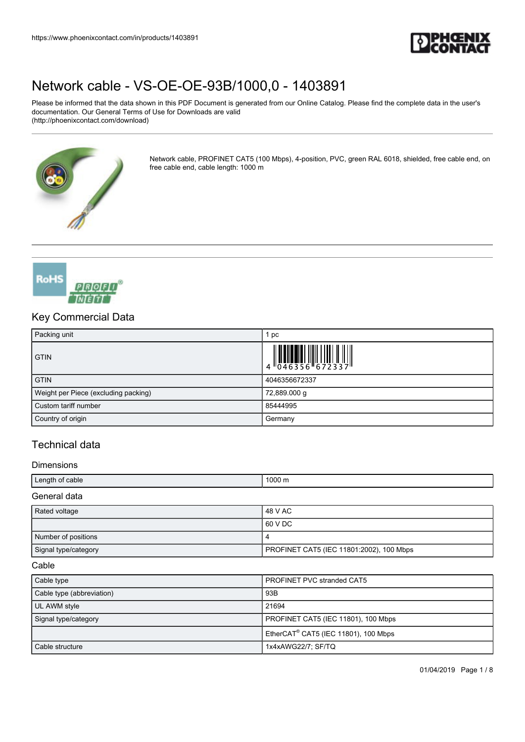

Please be informed that the data shown in this PDF Document is generated from our Online Catalog. Please find the complete data in the user's documentation. Our General Terms of Use for Downloads are valid (http://phoenixcontact.com/download)



Network cable, PROFINET CAT5 (100 Mbps), 4-position, PVC, green RAL 6018, shielded, free cable end, on free cable end, cable length: 1000 m



## Key Commercial Data

| Packing unit                         | pc            |
|--------------------------------------|---------------|
| <b>GTIN</b>                          |               |
| <b>GTIN</b>                          | 4046356672337 |
| Weight per Piece (excluding packing) | 72,889.000 g  |
| Custom tariff number                 | 85444995      |
| Country of origin                    | Germany       |

# Technical data

#### **Dimensions**

| Length of cable        | 1000 m |
|------------------------|--------|
| $\sim$<br>data<br>∴èr. |        |

| Rated voltage        | 48 V AC                                  |
|----------------------|------------------------------------------|
|                      | 60 V DC                                  |
| Number of positions  | 4                                        |
| Signal type/category | PROFINET CAT5 (IEC 11801:2002), 100 Mbps |

#### Cable

| Cable type                | <b>PROFINET PVC stranded CAT5</b>                |  |
|---------------------------|--------------------------------------------------|--|
| Cable type (abbreviation) | 93B                                              |  |
| UL AWM style              | 21694                                            |  |
| Signal type/category      | PROFINET CAT5 (IEC 11801), 100 Mbps              |  |
|                           | EtherCAT <sup>®</sup> CAT5 (IEC 11801), 100 Mbps |  |
| Cable structure           | 1x4xAWG22/7; SF/TQ                               |  |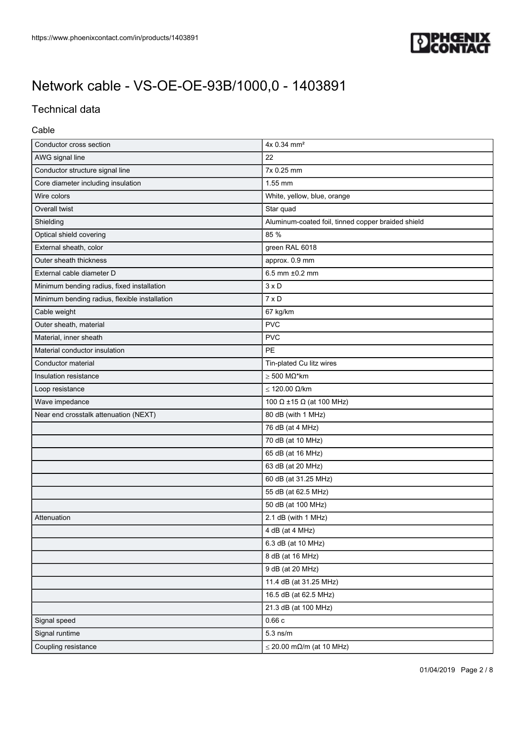

# Technical data

### Cable

| Conductor cross section                       | 4x 0.34 mm <sup>2</sup>                            |  |  |
|-----------------------------------------------|----------------------------------------------------|--|--|
| AWG signal line                               | 22                                                 |  |  |
| Conductor structure signal line               | 7x 0.25 mm                                         |  |  |
| Core diameter including insulation            | 1.55 mm                                            |  |  |
| Wire colors                                   | White, yellow, blue, orange                        |  |  |
| Overall twist                                 | Star quad                                          |  |  |
| Shielding                                     | Aluminum-coated foil, tinned copper braided shield |  |  |
| Optical shield covering                       | 85 %                                               |  |  |
| External sheath, color                        | green RAL 6018                                     |  |  |
| Outer sheath thickness                        | approx. 0.9 mm                                     |  |  |
| External cable diameter D                     | 6.5 mm ±0.2 mm                                     |  |  |
| Minimum bending radius, fixed installation    | $3 \times D$                                       |  |  |
| Minimum bending radius, flexible installation | $7 \times D$                                       |  |  |
| Cable weight                                  | 67 kg/km                                           |  |  |
| Outer sheath, material                        | <b>PVC</b>                                         |  |  |
| Material, inner sheath                        | <b>PVC</b>                                         |  |  |
| Material conductor insulation                 | PE                                                 |  |  |
| Conductor material                            | Tin-plated Cu litz wires                           |  |  |
| Insulation resistance                         | $>$ 500 MΩ*km                                      |  |  |
| Loop resistance                               | $\leq$ 120.00 $\Omega$ /km                         |  |  |
| Wave impedance                                | 100 $\Omega$ ±15 $\Omega$ (at 100 MHz)             |  |  |
| Near end crosstalk attenuation (NEXT)         | 80 dB (with 1 MHz)                                 |  |  |
|                                               | 76 dB (at 4 MHz)                                   |  |  |
|                                               | 70 dB (at 10 MHz)                                  |  |  |
|                                               | 65 dB (at 16 MHz)                                  |  |  |
|                                               | 63 dB (at 20 MHz)                                  |  |  |
|                                               | 60 dB (at 31.25 MHz)                               |  |  |
|                                               | 55 dB (at 62.5 MHz)                                |  |  |
|                                               | 50 dB (at 100 MHz)                                 |  |  |
| Attenuation                                   | 2.1 dB (with 1 MHz)                                |  |  |
|                                               | 4 dB (at 4 MHz)                                    |  |  |
|                                               | 6.3 dB (at 10 MHz)                                 |  |  |
|                                               | 8 dB (at 16 MHz)                                   |  |  |
|                                               | 9 dB (at 20 MHz)                                   |  |  |
|                                               | 11.4 dB (at 31.25 MHz)                             |  |  |
|                                               | 16.5 dB (at 62.5 MHz)                              |  |  |
|                                               | 21.3 dB (at 100 MHz)                               |  |  |
| Signal speed                                  | 0.66c                                              |  |  |
| Signal runtime                                | $5.3$ ns/m                                         |  |  |
| Coupling resistance                           | $\leq$ 20.00 m $\Omega$ /m (at 10 MHz)             |  |  |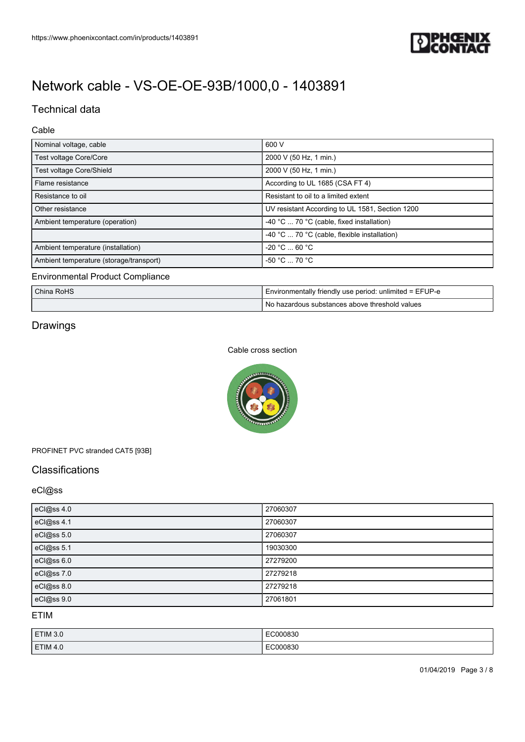

# Technical data

### Cable

| Nominal voltage, cable                  | 600 V                                           |  |
|-----------------------------------------|-------------------------------------------------|--|
| Test voltage Core/Core                  | 2000 V (50 Hz, 1 min.)                          |  |
| Test voltage Core/Shield                | 2000 V (50 Hz, 1 min.)                          |  |
| Flame resistance                        | According to UL 1685 (CSA FT 4)                 |  |
| Resistance to oil                       | Resistant to oil to a limited extent            |  |
| Other resistance                        | UV resistant According to UL 1581, Section 1200 |  |
| Ambient temperature (operation)         | -40 °C  70 °C (cable, fixed installation)       |  |
|                                         | -40 °C  70 °C (cable, flexible installation)    |  |
| Ambient temperature (installation)      | -20 °C  60 °C                                   |  |
| Ambient temperature (storage/transport) | $-50 °C$ 70 °C                                  |  |
| <b>Environmental Product Compliance</b> |                                                 |  |

| China RoHS | I Environmentally friendly use period: unlimited = EFUP-e |  |
|------------|-----------------------------------------------------------|--|
|            | No hazardous substances above threshold values            |  |

# Drawings

#### Cable cross section



### PROFINET PVC stranded CAT5 [93B]

## **Classifications**

## eCl@ss

| eCl@ss 4.0 | 27060307 |
|------------|----------|
| eCl@ss 4.1 | 27060307 |
| eCl@ss 5.0 | 27060307 |
| eCl@ss 5.1 | 19030300 |
| eCl@ss 6.0 | 27279200 |
| eCl@ss 7.0 | 27279218 |
| eCl@ss 8.0 | 27279218 |
| eCl@ss 9.0 | 27061801 |

ETIM

| ETIM 3.0   | EC000830    |
|------------|-------------|
| $T$ TIM 4. | ി0083പ<br>. |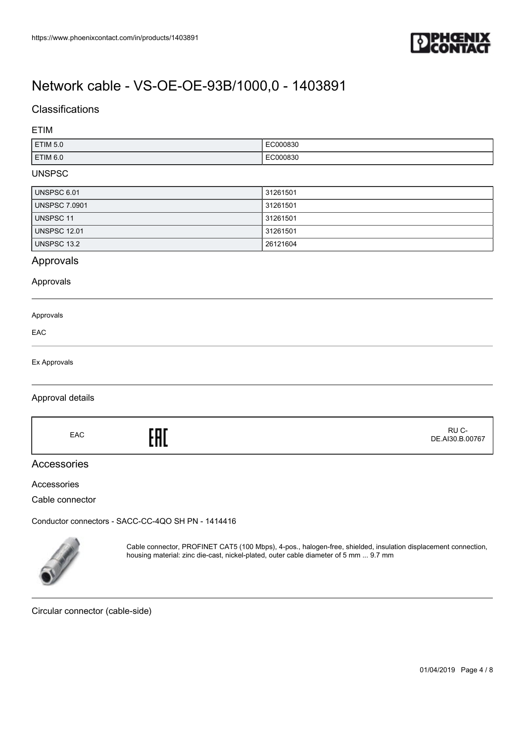

## **Classifications**

### ETIM

| ETIM <sub>50</sub> | EC000830<br>.                                        |
|--------------------|------------------------------------------------------|
| <b>ETIM 6.0</b>    | $F^{\alpha\alpha\alpha\alpha\alpha\alpha}$<br>`0083ı |

#### UNSPSC

| UNSPSC 6.01          | 31261501 |
|----------------------|----------|
| <b>UNSPSC 7.0901</b> | 31261501 |
| UNSPSC 11            | 31261501 |
| <b>UNSPSC 12.01</b>  | 31261501 |
| UNSPSC 13.2          | 26121604 |

## Approvals

#### Approvals

| Approvals |  |  |
|-----------|--|--|
| EAC       |  |  |
|           |  |  |

#### Ex Approvals

#### Approval details

EAC<sub>EAC</sub>ERE

### Accessories

#### Accessories

Cable connector

[Conductor connectors - SACC-CC-4QO SH PN - 1414416](https://www.phoenixcontact.com/in/products/1414416)



Cable connector, PROFINET CAT5 (100 Mbps), 4-pos., halogen-free, shielded, insulation displacement connection, housing material: zinc die-cast, nickel-plated, outer cable diameter of 5 mm ... 9.7 mm

Circular connector (cable-side)

 RU C-DE.AI30.B.00767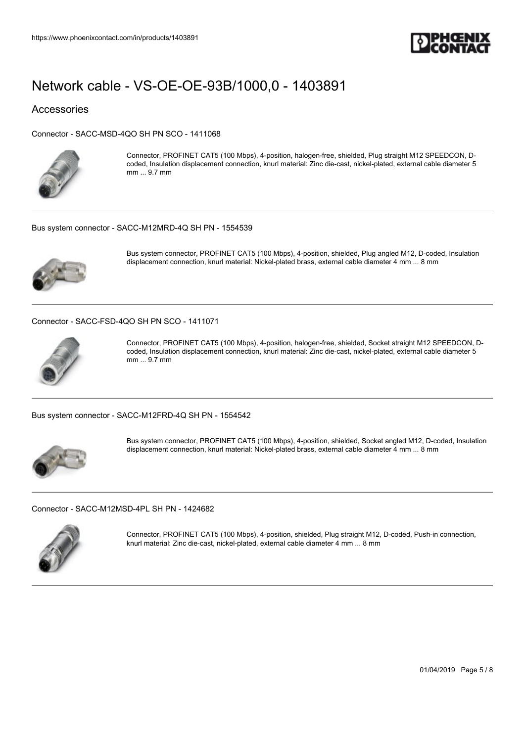

### Accessories

[Connector - SACC-MSD-4QO SH PN SCO - 1411068](https://www.phoenixcontact.com/in/products/1411068)



Connector, PROFINET CAT5 (100 Mbps), 4-position, halogen-free, shielded, Plug straight M12 SPEEDCON, Dcoded, Insulation displacement connection, knurl material: Zinc die-cast, nickel-plated, external cable diameter 5 mm ... 9.7 mm

#### [Bus system connector - SACC-M12MRD-4Q SH PN - 1554539](https://www.phoenixcontact.com/in/products/1554539)



Bus system connector, PROFINET CAT5 (100 Mbps), 4-position, shielded, Plug angled M12, D-coded, Insulation displacement connection, knurl material: Nickel-plated brass, external cable diameter 4 mm ... 8 mm

#### [Connector - SACC-FSD-4QO SH PN SCO - 1411071](https://www.phoenixcontact.com/in/products/1411071)



Connector, PROFINET CAT5 (100 Mbps), 4-position, halogen-free, shielded, Socket straight M12 SPEEDCON, Dcoded, Insulation displacement connection, knurl material: Zinc die-cast, nickel-plated, external cable diameter 5 mm ... 9.7 mm

[Bus system connector - SACC-M12FRD-4Q SH PN - 1554542](https://www.phoenixcontact.com/in/products/1554542)



Bus system connector, PROFINET CAT5 (100 Mbps), 4-position, shielded, Socket angled M12, D-coded, Insulation displacement connection, knurl material: Nickel-plated brass, external cable diameter 4 mm ... 8 mm

[Connector - SACC-M12MSD-4PL SH PN - 1424682](https://www.phoenixcontact.com/in/products/1424682)



Connector, PROFINET CAT5 (100 Mbps), 4-position, shielded, Plug straight M12, D-coded, Push-in connection, knurl material: Zinc die-cast, nickel-plated, external cable diameter 4 mm ... 8 mm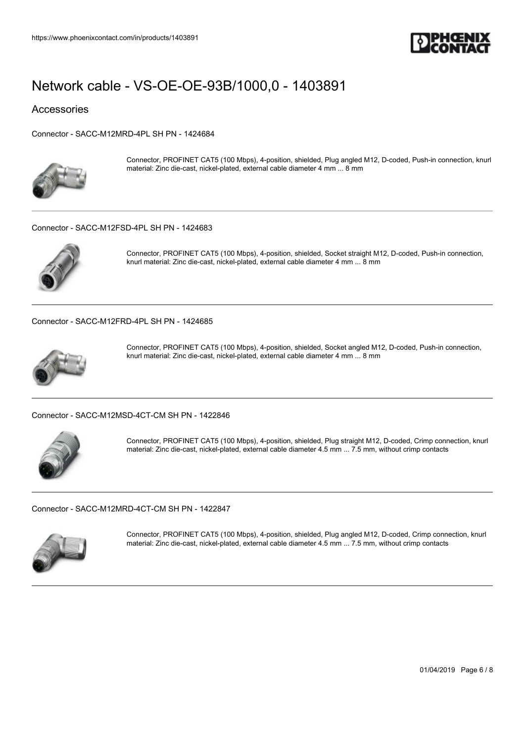

Accessories

[Connector - SACC-M12MRD-4PL SH PN - 1424684](https://www.phoenixcontact.com/in/products/1424684)



Connector, PROFINET CAT5 (100 Mbps), 4-position, shielded, Plug angled M12, D-coded, Push-in connection, knurl material: Zinc die-cast, nickel-plated, external cable diameter 4 mm ... 8 mm

#### [Connector - SACC-M12FSD-4PL SH PN - 1424683](https://www.phoenixcontact.com/in/products/1424683)



Connector, PROFINET CAT5 (100 Mbps), 4-position, shielded, Socket straight M12, D-coded, Push-in connection, knurl material: Zinc die-cast, nickel-plated, external cable diameter 4 mm ... 8 mm

[Connector - SACC-M12FRD-4PL SH PN - 1424685](https://www.phoenixcontact.com/in/products/1424685)



Connector, PROFINET CAT5 (100 Mbps), 4-position, shielded, Socket angled M12, D-coded, Push-in connection, knurl material: Zinc die-cast, nickel-plated, external cable diameter 4 mm ... 8 mm

#### [Connector - SACC-M12MSD-4CT-CM SH PN - 1422846](https://www.phoenixcontact.com/in/products/1422846)



Connector, PROFINET CAT5 (100 Mbps), 4-position, shielded, Plug straight M12, D-coded, Crimp connection, knurl material: Zinc die-cast, nickel-plated, external cable diameter 4.5 mm ... 7.5 mm, without crimp contacts

[Connector - SACC-M12MRD-4CT-CM SH PN - 1422847](https://www.phoenixcontact.com/in/products/1422847)



Connector, PROFINET CAT5 (100 Mbps), 4-position, shielded, Plug angled M12, D-coded, Crimp connection, knurl material: Zinc die-cast, nickel-plated, external cable diameter 4.5 mm ... 7.5 mm, without crimp contacts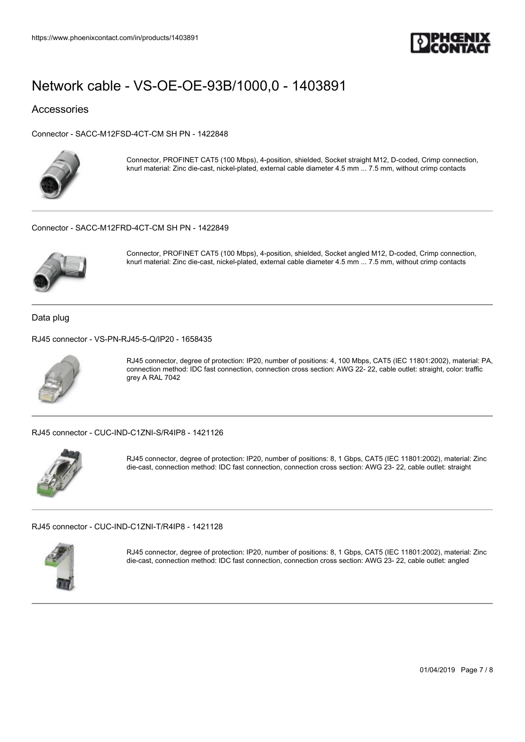

### Accessories

[Connector - SACC-M12FSD-4CT-CM SH PN - 1422848](https://www.phoenixcontact.com/in/products/1422848)



Connector, PROFINET CAT5 (100 Mbps), 4-position, shielded, Socket straight M12, D-coded, Crimp connection, knurl material: Zinc die-cast, nickel-plated, external cable diameter 4.5 mm ... 7.5 mm, without crimp contacts

#### [Connector - SACC-M12FRD-4CT-CM SH PN - 1422849](https://www.phoenixcontact.com/in/products/1422849)



Connector, PROFINET CAT5 (100 Mbps), 4-position, shielded, Socket angled M12, D-coded, Crimp connection, knurl material: Zinc die-cast, nickel-plated, external cable diameter 4.5 mm ... 7.5 mm, without crimp contacts

Data plug

[RJ45 connector - VS-PN-RJ45-5-Q/IP20 - 1658435](https://www.phoenixcontact.com/in/products/1658435)



RJ45 connector, degree of protection: IP20, number of positions: 4, 100 Mbps, CAT5 (IEC 11801:2002), material: PA, connection method: IDC fast connection, connection cross section: AWG 22- 22, cable outlet: straight, color: traffic grey A RAL 7042

[RJ45 connector - CUC-IND-C1ZNI-S/R4IP8 - 1421126](https://www.phoenixcontact.com/in/products/1421126)



RJ45 connector, degree of protection: IP20, number of positions: 8, 1 Gbps, CAT5 (IEC 11801:2002), material: Zinc die-cast, connection method: IDC fast connection, connection cross section: AWG 23- 22, cable outlet: straight

[RJ45 connector - CUC-IND-C1ZNI-T/R4IP8 - 1421128](https://www.phoenixcontact.com/in/products/1421128)



RJ45 connector, degree of protection: IP20, number of positions: 8, 1 Gbps, CAT5 (IEC 11801:2002), material: Zinc die-cast, connection method: IDC fast connection, connection cross section: AWG 23- 22, cable outlet: angled